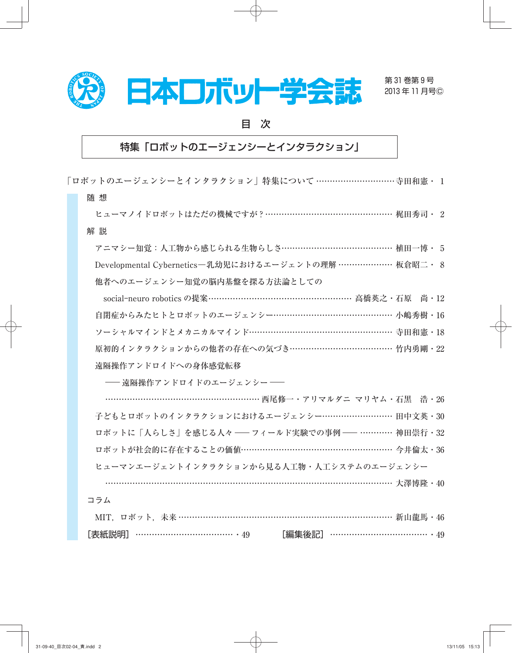

第 31 巻第 9 号 2013 年 11 月号Ⓒ

目 次

## 特集「ロボットのエージェンシーとインタラクション」

「ロボットのエージェンシーとインタラクション」特集について ............................. 寺田和憲・ 1 随 想

ヒューマノイドロボットはただの機械ですが ? ………………………………………… 梶田秀司・ 2 解 説

アニマシー知覚:人工物から感じられる生物らしさ......................................... 植田一博・ 5

Developmental Cybernetics―乳幼児におけるエージェントの理解 .................... 板倉昭二・ 8 他者へのエージェンシー知覚の脳内基盤を探る方法論としての

social-neuro robotics の提案 ………………………………………………… 高橋英之・石原 尚・12 自閉症からみたヒトとロボットのエージェンシー………………………………………… 小嶋秀樹・16 ソーシャルマインドとメカニカルマインド..................................................... 寺田和憲・18 原初的インタラクションからの他者の存在への気づき………………………………… 竹内勇剛・22 遠隔操作アンドロイドへの身体感覚転移

―遠隔操作アンドロイドのエージェンシー ―

 ......................................................... 西尾修一・アリマルダニ マリヤム・石黒 浩・26 子どもとロボットのインタラクションにおけるエージェンシー……………………… 田中文英・30 ロボットに「人らしさ」を感じる人々 ―フィールド実験での事例 ― ............ 神田崇行・32 ロボットが社会的に存在することの価値…………………………………………………… 今井倫太・36 ヒューマンエージェントインタラクションから見る人工物・人工システムのエージェンシー

.............................................................. ............................................ 大澤博隆・40

コラム

|  | - MIT,ロボット,未来 …………………………………………………………………… 新山龍馬・46 |  |                        |  |
|--|--------------------------------------------------|--|------------------------|--|
|  | [表紙説明]……………………………… ・49                           |  | [編集後記] …………………………………49 |  |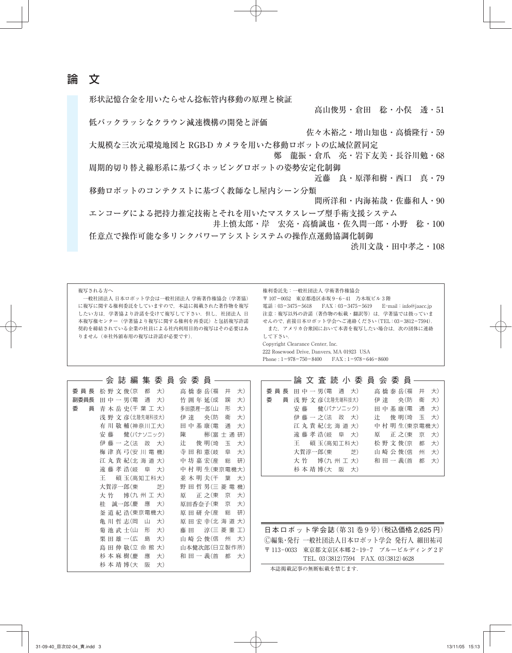論 文

形状記憶合金を用いたらせん捻転管内移動の原理と検証

高山俊男・倉田 稔・小俣 透・51

低バックラッシなクラウン減速機構の開発と評価

佐々木裕之・増山知也・高橋隆行・59

大規模な三次元環境地図と RGB-D カメラを用いた移動ロボットの広域位置同定 鄭 龍振・倉爪 亮・岩下友美・長谷川勉・68

周期的切り替え線形系に基づくホッピングロボットの姿勢安定化制御 近藤 良・原澤和樹・西口 真・79

移動ロボットのコンテクストに基づく教師なし屋内シーン分類

間所洋和・内海祐哉・佐藤和人・90

エンコーダによる把持力推定技術とそれを用いたマスタスレーブ型手術支援システム 井上慎太郎・岸 宏亮・高橋誠也・佐久間一郎・小野 稔・100

任意点で操作可能な多リンクパワーアシストシステムの操作点運動協調化制御 渋川文哉・田中孝之・108

| 複写される方へ |  |  |
|---------|--|--|
|---------|--|--|

 一般社団法人 日本ロボット学会は一般社団法人 学術著作権協会(学著協) に複写に関する権利委託をしていますので,本誌に掲載された著作物を複写 したい方は,学著協より許諾を受けて複写して下さい.但し,社団法人 日 本複写権センター(学著協より複写に関する権利を再委託)と包括複写許諾 契約を締結されている企業の社員による社内利用目的の複写はその必要はあ りません(※社外頒布用の複写は許諾が必要です).

権利委託先:一般社団法人 学術著作権協会 〒 107 ― 0052 東京都港区赤坂 9 ‒ 6 ‒ 41 乃木坂ビル 3 階 電話: 03-3475-5618 FAX: 03-3475-5619 E-mail: info@jaacc.jp 注意:複写以外の許諾(著作物の転載・翻訳等)は、学著協では扱っていま せんので, 直接日本ロボット学会へご連絡ください (TEL: 03-3812-7594). また,アメリカ合衆国において本書を複写したい場合は,次の団体に連絡 して下さい. Copyright Clearance Center, Inc. 222 Rosewood Drive, Danvers, MA 01923 USA

Phone:  $1 - 978 - 750 - 8400$  FAX:  $1 - 978 - 646 - 8600$ 

|        | 会 誌 編 集 委 員 会 委 員 -                           |
|--------|-----------------------------------------------|
| 委 員 長  | 高 橋 泰 岳(福<br>松 野 文 俊(京<br>都<br>大)<br>井<br>大)  |
| 副委員長   | 大)<br>蹊<br>大)<br>田 中 一 男(電<br>通<br>竹 囲 年 延(成  |
| 委<br>員 | 大)<br>形<br>青 木 岳 史(千 葉 工 大)<br>多田隈理一郎(山       |
|        | 衛<br>大)<br>浅 野 文 彦(北陸先端科技大)<br>伊達<br>央(防      |
|        | 田中基康(電<br>有 川 敬 輔(神奈川工大)<br>通<br>大)           |
|        | 研)<br>健(パナソニック)<br>陳<br>安藤<br>彬(富 士 通         |
|        | 伊藤 一 之(法 政 大)<br>俊 明(埼<br>玉<br>大)<br>辻        |
|        | 梅 津 真 弓(安 川 電 機)<br>寺 田 和 憲(岐の阜)<br>大)        |
|        | 江 丸 貴 紀(北 海 道 大)<br>中 坊 嘉 宏(産<br>総<br>研)      |
|        | 遠 藤 孝 浩(岐 阜 大)<br>中村 明生(東京電機大)                |
|        | 碩 玉(高知工科大)<br>並 木 明 夫(千<br>葉<br>大)<br>王       |
|        | 大賀淳一郎(東<br>芝)<br>野 田 哲 男(三 菱 電<br>機)          |
|        | 博(九州工大)<br>正 之(東<br>京<br>大竹<br>原<br>$\pm)$    |
|        | $\pm$<br>原田香奈子(東 京<br>桂<br>誠一郎(慶 應<br>$\pm$   |
|        | 原田研介(産 総<br>研)<br>釜 道 紀 浩(東京電機大)              |
|        | 亀 川 哲 志(岡<br>$\pm$<br>原 田 宏 幸(北 海 道 大)<br>Ш   |
|        | 菊 池 武 士⑴」<br>$\pm$<br>形<br>藤田<br>淳(三 菱 重 丁)   |
|        | 大)<br>州<br>栗 田 雄 一(広 山島<br>山 崎 公 俊(信<br>大)    |
|        | 大)<br>島 田 伸 敬(立 命 館<br>山本健次郎(日立製作所)           |
|        | 杉 本 麻 樹(慶<br>應<br>$\pm$<br>和 田 一 義(首 )都<br>大) |
|        | 杉 本 靖 博(大<br>阪<br>$\pm$                       |

| 論 文 査 読 小 委 員 会 委 員 ――               |  |
|--------------------------------------|--|
|                                      |  |
| 高橋泰岳(福井<br>委員長 田中一男(電 通 大)<br>大)     |  |
| 伊達 央(防衛大)<br>委  員 浅 野 文 彦(北陸先端科技大)   |  |
| 安 藤   健(パナソニック)   田 中 基 康(電   通   大) |  |
| 辻 俊明(埼玉大)<br>伊藤一之(法 政 大)             |  |
| 江 丸 貴 紀(北 海 道 大)<br>中村明生(東京電機大)      |  |
| 遠藤孝浩(岐阜大)<br>原 正之(東 京 大)             |  |
| 松野文俊(京都大)<br>王 碩 玉(高知工科大)            |  |
| 山 崎 公 俊(信 )州<br>大)<br>大賀淳一郎(東 芝)     |  |
| 和 田 一 義(首<br>大竹 博(九州工大)<br>都<br>大)   |  |
| 杉本靖博(大阪大)                            |  |

日本ロボット学会誌(第 31 巻 9 号)(税込価格 2,625 円) Ⓒ編集・発行 一般社団法人日本ロボット学会 発行人 細田祐司 〒 113-0033 東京都文京区本郷 2-19-7 ブルービルディング 2 F TEL. 03(3812)7594 FAX. 03(3812)4628

本誌掲載記事の無断転載を禁じます.